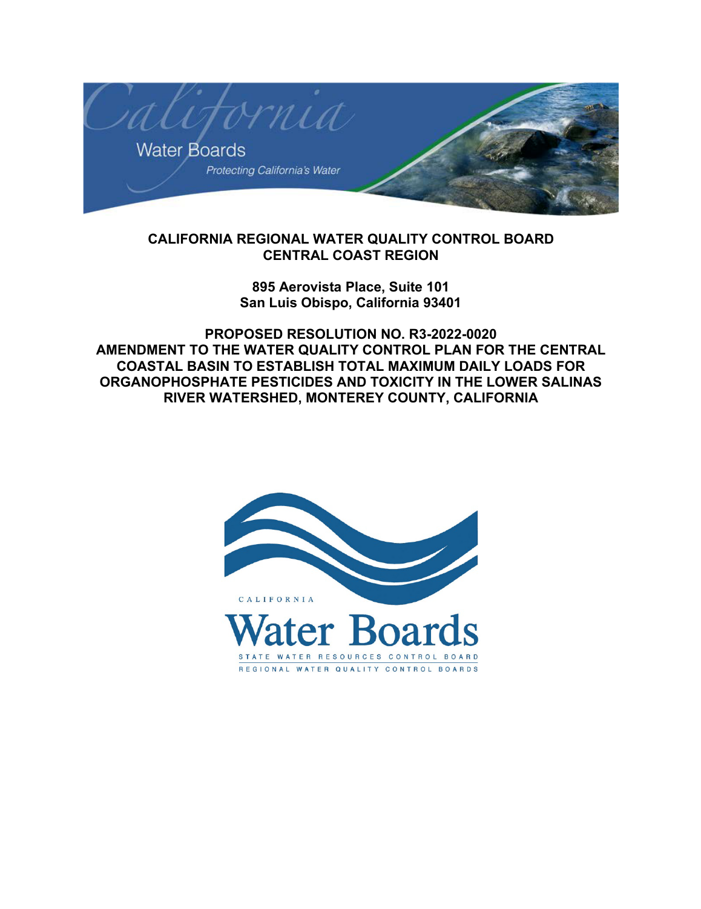

## **CALIFORNIA REGIONAL WATER QUALITY CONTROL BOARD CENTRAL COAST REGION**

## **895 Aerovista Place, Suite 101 San Luis Obispo, California 93401**

**PROPOSED RESOLUTION NO. R3-2022-0020 AMENDMENT TO THE WATER QUALITY CONTROL PLAN FOR THE CENTRAL COASTAL BASIN TO ESTABLISH TOTAL MAXIMUM DAILY LOADS FOR ORGANOPHOSPHATE PESTICIDES AND TOXICITY IN THE LOWER SALINAS RIVER WATERSHED, MONTEREY COUNTY, CALIFORNIA**

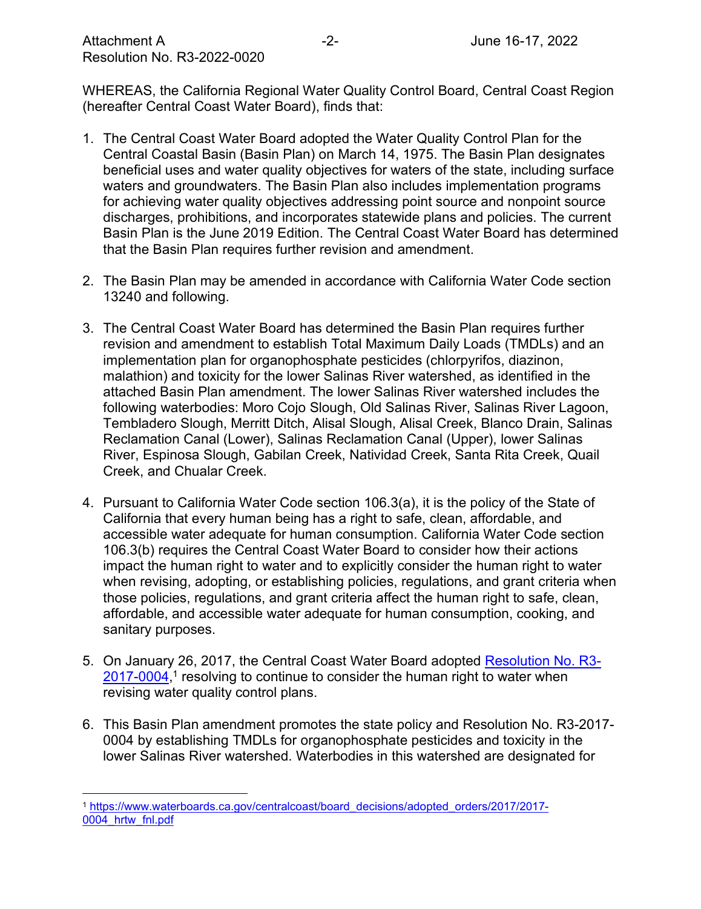WHEREAS, the California Regional Water Quality Control Board, Central Coast Region (hereafter Central Coast Water Board), finds that:

- 1. The Central Coast Water Board adopted the Water Quality Control Plan for the Central Coastal Basin (Basin Plan) on March 14, 1975. The Basin Plan designates beneficial uses and water quality objectives for waters of the state, including surface waters and groundwaters. The Basin Plan also includes implementation programs for achieving water quality objectives addressing point source and nonpoint source discharges, prohibitions, and incorporates statewide plans and policies. The current Basin Plan is the June 2019 Edition. The Central Coast Water Board has determined that the Basin Plan requires further revision and amendment.
- 2. The Basin Plan may be amended in accordance with California Water Code section 13240 and following.
- 3. The Central Coast Water Board has determined the Basin Plan requires further revision and amendment to establish Total Maximum Daily Loads (TMDLs) and an implementation plan for organophosphate pesticides (chlorpyrifos, diazinon, malathion) and toxicity for the lower Salinas River watershed, as identified in the attached Basin Plan amendment. The lower Salinas River watershed includes the following waterbodies: Moro Cojo Slough, Old Salinas River, Salinas River Lagoon, Tembladero Slough, Merritt Ditch, Alisal Slough, Alisal Creek, Blanco Drain, Salinas Reclamation Canal (Lower), Salinas Reclamation Canal (Upper), lower Salinas River, Espinosa Slough, Gabilan Creek, Natividad Creek, Santa Rita Creek, Quail Creek, and Chualar Creek.
- 4. Pursuant to California Water Code section 106.3(a), it is the policy of the State of California that every human being has a right to safe, clean, affordable, and accessible water adequate for human consumption. California Water Code section 106.3(b) requires the Central Coast Water Board to consider how their actions impact the human right to water and to explicitly consider the human right to water when revising, adopting, or establishing policies, regulations, and grant criteria when those policies, regulations, and grant criteria affect the human right to safe, clean, affordable, and accessible water adequate for human consumption, cooking, and sanitary purposes.
- 5. On January 26, 2017, the Central Coast Water Board adopted [Resolution No. R3-](https://www.waterboards.ca.gov/centralcoast/board_decisions/adopted_orders/2017/2017-0004_hrtw_fnl.pdf) [2017-0004](https://www.waterboards.ca.gov/centralcoast/board_decisions/adopted_orders/2017/2017-0004_hrtw_fnl.pdf),<sup>[1](#page-1-0)</sup> resolving to continue to consider the human right to water when revising water quality control plans.
- 6. This Basin Plan amendment promotes the state policy and Resolution No. R3-2017- 0004 by establishing TMDLs for organophosphate pesticides and toxicity in the lower Salinas River watershed. Waterbodies in this watershed are designated for

<span id="page-1-0"></span><sup>1</sup> [https://www.waterboards.ca.gov/centralcoast/board\\_decisions/adopted\\_orders/2017/2017-](https://www.waterboards.ca.gov/centralcoast/board_decisions/adopted_orders/2017/2017-0004_hrtw_fnl.pdf) [0004\\_hrtw\\_fnl.pdf](https://www.waterboards.ca.gov/centralcoast/board_decisions/adopted_orders/2017/2017-0004_hrtw_fnl.pdf)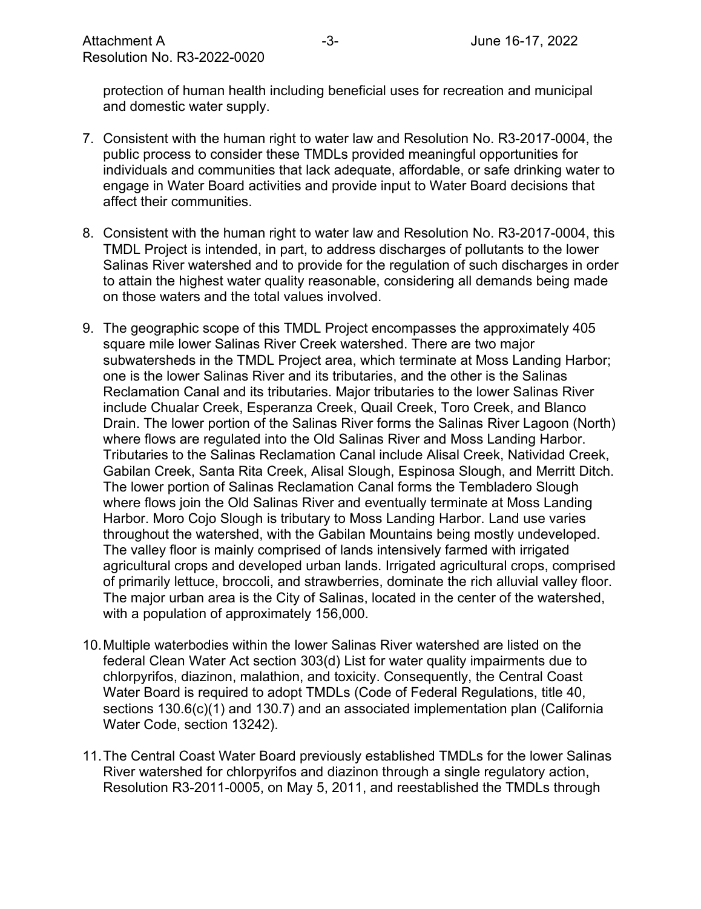protection of human health including beneficial uses for recreation and municipal and domestic water supply.

- 7. Consistent with the human right to water law and Resolution No. R3-2017-0004, the public process to consider these TMDLs provided meaningful opportunities for individuals and communities that lack adequate, affordable, or safe drinking water to engage in Water Board activities and provide input to Water Board decisions that affect their communities.
- 8. Consistent with the human right to water law and Resolution No. R3-2017-0004, this TMDL Project is intended, in part, to address discharges of pollutants to the lower Salinas River watershed and to provide for the regulation of such discharges in order to attain the highest water quality reasonable, considering all demands being made on those waters and the total values involved.
- 9. The geographic scope of this TMDL Project encompasses the approximately 405 square mile lower Salinas River Creek watershed. There are two major subwatersheds in the TMDL Project area, which terminate at Moss Landing Harbor; one is the lower Salinas River and its tributaries, and the other is the Salinas Reclamation Canal and its tributaries. Major tributaries to the lower Salinas River include Chualar Creek, Esperanza Creek, Quail Creek, Toro Creek, and Blanco Drain. The lower portion of the Salinas River forms the Salinas River Lagoon (North) where flows are regulated into the Old Salinas River and Moss Landing Harbor. Tributaries to the Salinas Reclamation Canal include Alisal Creek, Natividad Creek, Gabilan Creek, Santa Rita Creek, Alisal Slough, Espinosa Slough, and Merritt Ditch. The lower portion of Salinas Reclamation Canal forms the Tembladero Slough where flows join the Old Salinas River and eventually terminate at Moss Landing Harbor. Moro Cojo Slough is tributary to Moss Landing Harbor. Land use varies throughout the watershed, with the Gabilan Mountains being mostly undeveloped. The valley floor is mainly comprised of lands intensively farmed with irrigated agricultural crops and developed urban lands. Irrigated agricultural crops, comprised of primarily lettuce, broccoli, and strawberries, dominate the rich alluvial valley floor. The major urban area is the City of Salinas, located in the center of the watershed, with a population of approximately 156,000.
- 10.Multiple waterbodies within the lower Salinas River watershed are listed on the federal Clean Water Act section 303(d) List for water quality impairments due to chlorpyrifos, diazinon, malathion, and toxicity. Consequently, the Central Coast Water Board is required to adopt TMDLs (Code of Federal Regulations, title 40, sections 130.6(c)(1) and 130.7) and an associated implementation plan (California Water Code, section 13242).
- 11.The Central Coast Water Board previously established TMDLs for the lower Salinas River watershed for chlorpyrifos and diazinon through a single regulatory action, Resolution R3-2011-0005, on May 5, 2011, and reestablished the TMDLs through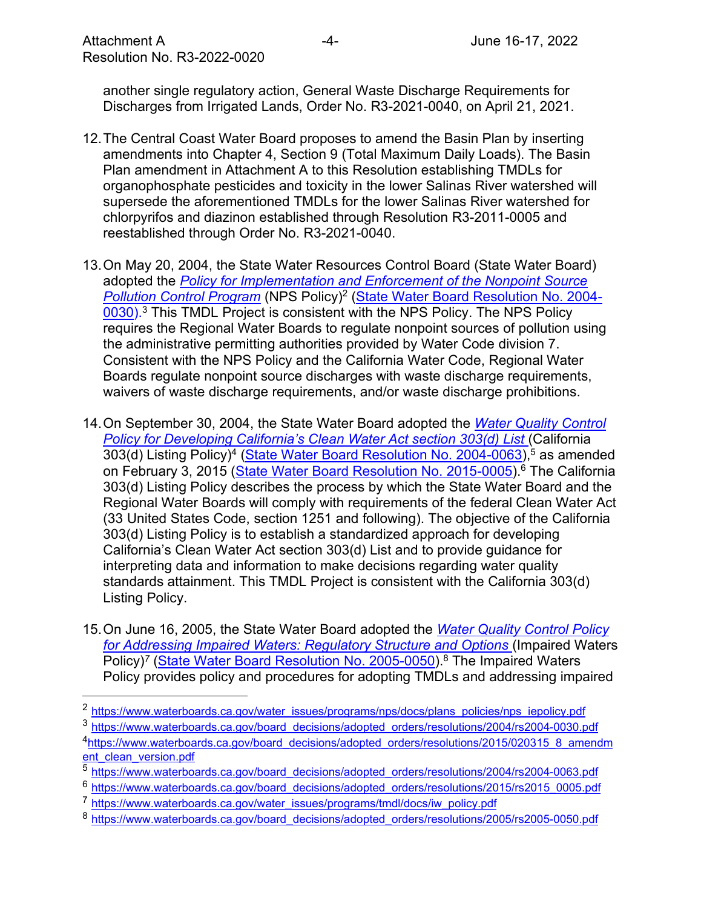another single regulatory action, General Waste Discharge Requirements for Discharges from Irrigated Lands, Order No. R3-2021-0040, on April 21, 2021.

- 12.The Central Coast Water Board proposes to amend the Basin Plan by inserting amendments into Chapter 4, Section 9 (Total Maximum Daily Loads). The Basin Plan amendment in Attachment A to this Resolution establishing TMDLs for organophosphate pesticides and toxicity in the lower Salinas River watershed will supersede the aforementioned TMDLs for the lower Salinas River watershed for chlorpyrifos and diazinon established through Resolution R3-2011-0005 and reestablished through Order No. R3-2021-0040.
- 13.On May 20, 2004, the State Water Resources Control Board (State Water Board) adopted the *[Policy for Implementation and Enforcement of the Nonpoint Source](https://www.waterboards.ca.gov/water_issues/programs/nps/docs/plans_policies/nps_iepolicy.pdf)  [Pollution Control Program](https://www.waterboards.ca.gov/water_issues/programs/nps/docs/plans_policies/nps_iepolicy.pdf)* (NPS Policy)[2](#page-3-0) ([State Water Board Resolution No. 2004-](https://www.waterboards.ca.gov/board_decisions/adopted_orders/resolutions/2004/rs2004-0030.pdf) [0030\).](https://www.waterboards.ca.gov/board_decisions/adopted_orders/resolutions/2004/rs2004-0030.pdf)[3](#page-3-1) This TMDL Project is consistent with the NPS Policy. The NPS Policy requires the Regional Water Boards to regulate nonpoint sources of pollution using the administrative permitting authorities provided by Water Code division 7. Consistent with the NPS Policy and the California Water Code, Regional Water Boards regulate nonpoint source discharges with waste discharge requirements, waivers of waste discharge requirements, and/or waste discharge prohibitions.
- 14.On September 30, 2004, the State Water Board adopted the *[Water Quality Control](https://www.waterboards.ca.gov/board_decisions/adopted_orders/resolutions/2015/020315_8_amendment_clean_version.pdf)  [Policy for Developing California's Clean Water Act section 303\(d\) List](https://www.waterboards.ca.gov/board_decisions/adopted_orders/resolutions/2015/020315_8_amendment_clean_version.pdf)* (California 303(d) Listing Policy)<sup>[4](#page-3-2)</sup> (<u>[State Water Board Resolution No. 2004-0063](https://www.waterboards.ca.gov/board_decisions/adopted_orders/resolutions/2004/rs2004-0063.pdf))</u>,<sup>[5](#page-3-3)</sup> as amended on February 3, 2015 (<u>State Water Board Resolution No. 2015-0005</u>).<sup>[6](#page-3-4)</sup> The California 303(d) Listing Policy describes the process by which the State Water Board and the Regional Water Boards will comply with requirements of the federal Clean Water Act (33 United States Code, section 1251 and following). The objective of the California 303(d) Listing Policy is to establish a standardized approach for developing California's Clean Water Act section 303(d) List and to provide guidance for interpreting data and information to make decisions regarding water quality standards attainment. This TMDL Project is consistent with the California 303(d) Listing Policy.
- 15.On June 16, 2005, the State Water Board adopted the *[Water Quality Control Policy](https://www.waterboards.ca.gov/water_issues/programs/tmdl/docs/iw_policy.pdf)  [for Addressing Impaired Waters: Regulatory Structure and Options](https://www.waterboards.ca.gov/water_issues/programs/tmdl/docs/iw_policy.pdf)* (Impaired Waters Policy)<sup>[7](#page-3-5)</sup> ([State Water Board Resolution](https://www.waterboards.ca.gov/board_decisions/adopted_orders/resolutions/2005/rs2005-0050.pdf) No. 2005-0050).<sup>[8](#page-3-6)</sup> The Impaired Waters Policy provides policy and procedures for adopting TMDLs and addressing impaired

<span id="page-3-0"></span><sup>&</sup>lt;sup>2</sup> [https://www.waterboards.ca.gov/water\\_issues/programs/nps/docs/plans\\_policies/nps\\_iepolicy.pdf](https://www.waterboards.ca.gov/water_issues/programs/nps/docs/plans_policies/nps_iepolicy.pdf)

<span id="page-3-1"></span><sup>3</sup> [https://www.waterboards.ca.gov/board\\_decisions/adopted\\_orders/resolutions/2004/rs2004-0030.pdf](https://www.waterboards.ca.gov/board_decisions/adopted_orders/resolutions/2004/rs2004-0030.pdf)

<span id="page-3-2"></span><sup>&</sup>lt;sup>4</sup>[https://www.waterboards.ca.gov/board\\_decisions/adopted\\_orders/resolutions/2015/020315\\_8\\_amendm](https://www.waterboards.ca.gov/board_decisions/adopted_orders/resolutions/2015/020315_8_amendment_clean_version.pdf) [ent\\_clean\\_version.pdf](https://www.waterboards.ca.gov/board_decisions/adopted_orders/resolutions/2015/020315_8_amendment_clean_version.pdf)

<span id="page-3-3"></span><sup>5</sup> [https://www.waterboards.ca.gov/board\\_decisions/adopted\\_orders/resolutions/2004/rs2004-0063.pdf](https://www.waterboards.ca.gov/board_decisions/adopted_orders/resolutions/2004/rs2004-0063.pdf)

<span id="page-3-4"></span><sup>&</sup>lt;sup>6</sup> [https://www.waterboards.ca.gov/board\\_decisions/adopted\\_orders/resolutions/2015/rs2015\\_0005.pdf](https://www.waterboards.ca.gov/board_decisions/adopted_orders/resolutions/2015/rs2015_0005.pdf)

<span id="page-3-5"></span><sup>7</sup> [https://www.waterboards.ca.gov/water\\_issues/programs/tmdl/docs/iw\\_policy.pdf](https://www.waterboards.ca.gov/water_issues/programs/tmdl/docs/iw_policy.pdf)

<span id="page-3-6"></span><sup>8</sup> [https://www.waterboards.ca.gov/board\\_decisions/adopted\\_orders/resolutions/2005/rs2005-0050.pdf](https://www.waterboards.ca.gov/board_decisions/adopted_orders/resolutions/2005/rs2005-0050.pdf)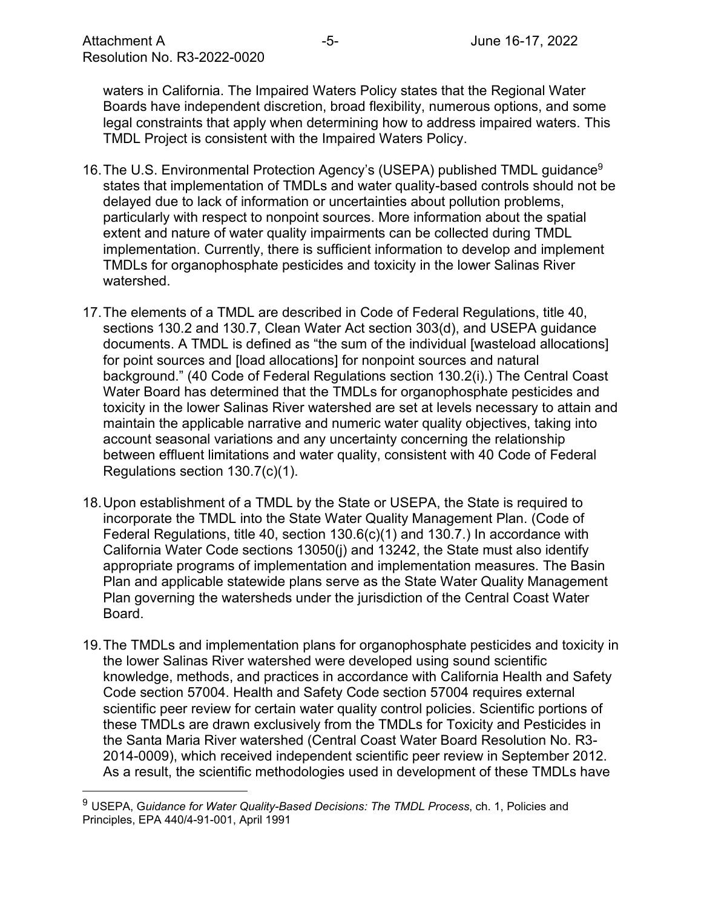waters in California. The Impaired Waters Policy states that the Regional Water Boards have independent discretion, broad flexibility, numerous options, and some legal constraints that apply when determining how to address impaired waters. This TMDL Project is consistent with the Impaired Waters Policy.

- 16. The U.S. Environmental Protection Agency's (USEPA) published TMDL guidance<sup>[9](#page-4-0)</sup> states that implementation of TMDLs and water quality-based controls should not be delayed due to lack of information or uncertainties about pollution problems, particularly with respect to nonpoint sources. More information about the spatial extent and nature of water quality impairments can be collected during TMDL implementation. Currently, there is sufficient information to develop and implement TMDLs for organophosphate pesticides and toxicity in the lower Salinas River watershed.
- 17.The elements of a TMDL are described in Code of Federal Regulations, title 40, sections 130.2 and 130.7, Clean Water Act section 303(d), and USEPA guidance documents. A TMDL is defined as "the sum of the individual [wasteload allocations] for point sources and [load allocations] for nonpoint sources and natural background." (40 Code of Federal Regulations section 130.2(i).) The Central Coast Water Board has determined that the TMDLs for organophosphate pesticides and toxicity in the lower Salinas River watershed are set at levels necessary to attain and maintain the applicable narrative and numeric water quality objectives, taking into account seasonal variations and any uncertainty concerning the relationship between effluent limitations and water quality, consistent with 40 Code of Federal Regulations section 130.7(c)(1).
- 18.Upon establishment of a TMDL by the State or USEPA, the State is required to incorporate the TMDL into the State Water Quality Management Plan. (Code of Federal Regulations, title 40, section 130.6(c)(1) and 130.7.) In accordance with California Water Code sections 13050(j) and 13242, the State must also identify appropriate programs of implementation and implementation measures. The Basin Plan and applicable statewide plans serve as the State Water Quality Management Plan governing the watersheds under the jurisdiction of the Central Coast Water Board.
- 19.The TMDLs and implementation plans for organophosphate pesticides and toxicity in the lower Salinas River watershed were developed using sound scientific knowledge, methods, and practices in accordance with California Health and Safety Code section 57004. Health and Safety Code section 57004 requires external scientific peer review for certain water quality control policies. Scientific portions of these TMDLs are drawn exclusively from the TMDLs for Toxicity and Pesticides in the Santa Maria River watershed (Central Coast Water Board Resolution No. R3- 2014-0009), which received independent scientific peer review in September 2012. As a result, the scientific methodologies used in development of these TMDLs have

<span id="page-4-0"></span><sup>9</sup> USEPA, G*uidance for Water Quality-Based Decisions: The TMDL Process*, ch. 1, Policies and Principles, EPA 440/4-91-001, April 1991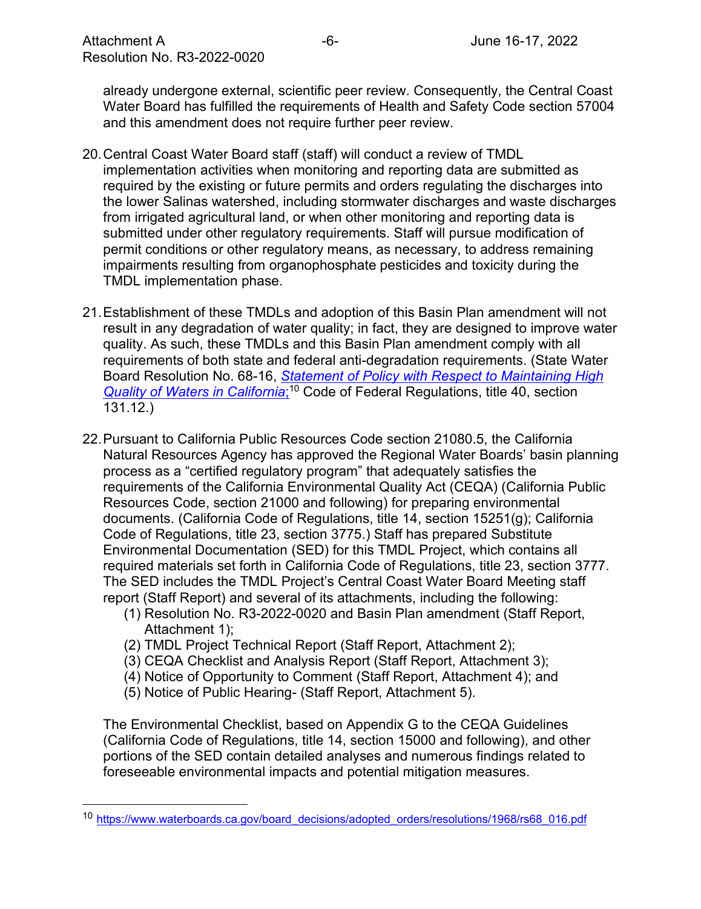already undergone external, scientific peer review. Consequently, the Central Coast Water Board has fulfilled the requirements of Health and Safety Code section 57004 and this amendment does not require further peer review.

- 20.Central Coast Water Board staff (staff) will conduct a review of TMDL implementation activities when monitoring and reporting data are submitted as required by the existing or future permits and orders regulating the discharges into the lower Salinas watershed, including stormwater discharges and waste discharges from irrigated agricultural land, or when other monitoring and reporting data is submitted under other regulatory requirements. Staff will pursue modification of permit conditions or other regulatory means, as necessary, to address remaining impairments resulting from organophosphate pesticides and toxicity during the TMDL implementation phase.
- 21.Establishment of these TMDLs and adoption of this Basin Plan amendment will not result in any degradation of water quality; in fact, they are designed to improve water quality. As such, these TMDLs and this Basin Plan amendment comply with all requirements of both state and federal anti-degradation requirements. (State Water Board Resolution No. 68-16, *[Statement of Policy with Respect to Maintaining High](https://www.waterboards.ca.gov/board_decisions/adopted_orders/resolutions/1968/rs68_016.pdf)  [Quality of Waters in California](https://www.waterboards.ca.gov/board_decisions/adopted_orders/resolutions/1968/rs68_016.pdf)*; [10](#page-5-0) Code of Federal Regulations, title 40, section 131.12.)
- 22.Pursuant to California Public Resources Code section 21080.5, the California Natural Resources Agency has approved the Regional Water Boards' basin planning process as a "certified regulatory program" that adequately satisfies the requirements of the California Environmental Quality Act (CEQA) (California Public Resources Code, section 21000 and following) for preparing environmental documents. (California Code of Regulations, title 14, section 15251(g); California Code of Regulations, title 23, section 3775.) Staff has prepared Substitute Environmental Documentation (SED) for this TMDL Project, which contains all required materials set forth in California Code of Regulations, title 23, section 3777. The SED includes the TMDL Project's Central Coast Water Board Meeting staff report (Staff Report) and several of its attachments, including the following:
	- (1) Resolution No. R3-2022-0020 and Basin Plan amendment (Staff Report, Attachment 1);
	- (2) TMDL Project Technical Report (Staff Report, Attachment 2);
	- (3) CEQA Checklist and Analysis Report (Staff Report, Attachment 3);
	- (4) Notice of Opportunity to Comment (Staff Report, Attachment 4); and
	- (5) Notice of Public Hearing- (Staff Report, Attachment 5).

The Environmental Checklist, based on Appendix G to the CEQA Guidelines (California Code of Regulations, title 14, section 15000 and following), and other portions of the SED contain detailed analyses and numerous findings related to foreseeable environmental impacts and potential mitigation measures.

<span id="page-5-0"></span><sup>10</sup> [https://www.waterboards.ca.gov/board\\_decisions/adopted\\_orders/resolutions/1968/rs68\\_016.pdf](https://www.waterboards.ca.gov/board_decisions/adopted_orders/resolutions/1968/rs68_016.pdf)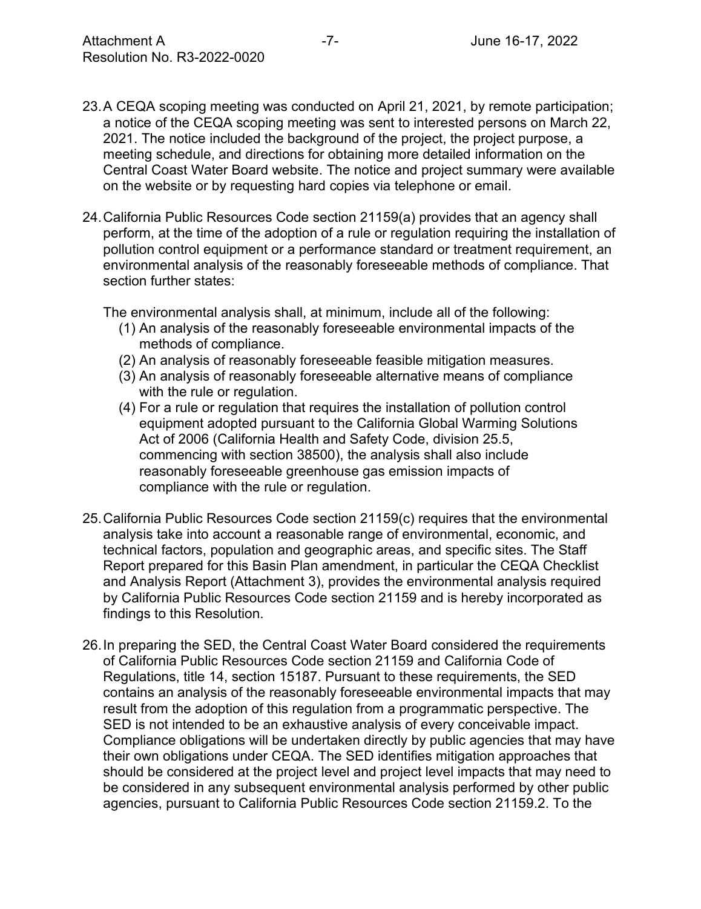- 23.A CEQA scoping meeting was conducted on April 21, 2021, by remote participation; a notice of the CEQA scoping meeting was sent to interested persons on March 22, 2021. The notice included the background of the project, the project purpose, a meeting schedule, and directions for obtaining more detailed information on the Central Coast Water Board website. The notice and project summary were available on the website or by requesting hard copies via telephone or email.
- 24.California Public Resources Code section 21159(a) provides that an agency shall perform, at the time of the adoption of a rule or regulation requiring the installation of pollution control equipment or a performance standard or treatment requirement, an environmental analysis of the reasonably foreseeable methods of compliance. That section further states:

The environmental analysis shall, at minimum, include all of the following:

- (1) An analysis of the reasonably foreseeable environmental impacts of the methods of compliance.
- (2) An analysis of reasonably foreseeable feasible mitigation measures.
- (3) An analysis of reasonably foreseeable alternative means of compliance with the rule or regulation.
- (4) For a rule or regulation that requires the installation of pollution control equipment adopted pursuant to the California Global Warming Solutions Act of 2006 (California Health and Safety Code, division 25.5, commencing with section 38500), the analysis shall also include reasonably foreseeable greenhouse gas emission impacts of compliance with the rule or regulation.
- 25.California Public Resources Code section 21159(c) requires that the environmental analysis take into account a reasonable range of environmental, economic, and technical factors, population and geographic areas, and specific sites. The Staff Report prepared for this Basin Plan amendment, in particular the CEQA Checklist and Analysis Report (Attachment 3), provides the environmental analysis required by California Public Resources Code section 21159 and is hereby incorporated as findings to this Resolution.
- 26.In preparing the SED, the Central Coast Water Board considered the requirements of California Public Resources Code section 21159 and California Code of Regulations, title 14, section 15187. Pursuant to these requirements, the SED contains an analysis of the reasonably foreseeable environmental impacts that may result from the adoption of this regulation from a programmatic perspective. The SED is not intended to be an exhaustive analysis of every conceivable impact. Compliance obligations will be undertaken directly by public agencies that may have their own obligations under CEQA. The SED identifies mitigation approaches that should be considered at the project level and project level impacts that may need to be considered in any subsequent environmental analysis performed by other public agencies, pursuant to California Public Resources Code section 21159.2. To the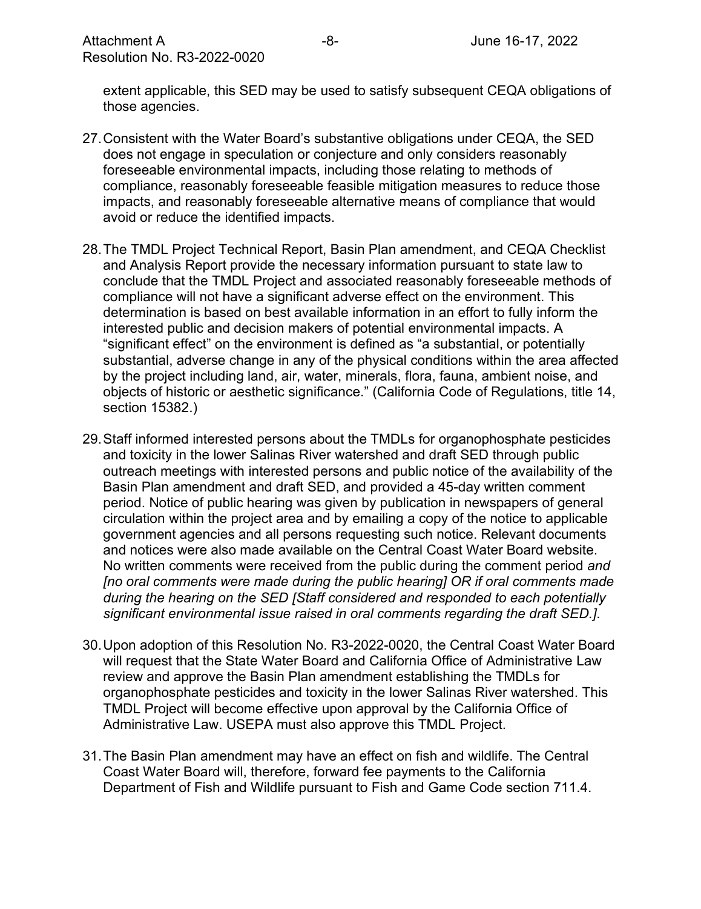extent applicable, this SED may be used to satisfy subsequent CEQA obligations of those agencies.

- 27.Consistent with the Water Board's substantive obligations under CEQA, the SED does not engage in speculation or conjecture and only considers reasonably foreseeable environmental impacts, including those relating to methods of compliance, reasonably foreseeable feasible mitigation measures to reduce those impacts, and reasonably foreseeable alternative means of compliance that would avoid or reduce the identified impacts.
- 28.The TMDL Project Technical Report, Basin Plan amendment, and CEQA Checklist and Analysis Report provide the necessary information pursuant to state law to conclude that the TMDL Project and associated reasonably foreseeable methods of compliance will not have a significant adverse effect on the environment. This determination is based on best available information in an effort to fully inform the interested public and decision makers of potential environmental impacts. A "significant effect" on the environment is defined as "a substantial, or potentially substantial, adverse change in any of the physical conditions within the area affected by the project including land, air, water, minerals, flora, fauna, ambient noise, and objects of historic or aesthetic significance." (California Code of Regulations, title 14, section 15382.)
- 29.Staff informed interested persons about the TMDLs for organophosphate pesticides and toxicity in the lower Salinas River watershed and draft SED through public outreach meetings with interested persons and public notice of the availability of the Basin Plan amendment and draft SED, and provided a 45-day written comment period. Notice of public hearing was given by publication in newspapers of general circulation within the project area and by emailing a copy of the notice to applicable government agencies and all persons requesting such notice. Relevant documents and notices were also made available on the Central Coast Water Board website. No written comments were received from the public during the comment period *and [no oral comments were made during the public hearing] OR if oral comments made during the hearing on the SED [Staff considered and responded to each potentially significant environmental issue raised in oral comments regarding the draft SED.]*.
- 30.Upon adoption of this Resolution No. R3-2022-0020, the Central Coast Water Board will request that the State Water Board and California Office of Administrative Law review and approve the Basin Plan amendment establishing the TMDLs for organophosphate pesticides and toxicity in the lower Salinas River watershed. This TMDL Project will become effective upon approval by the California Office of Administrative Law. USEPA must also approve this TMDL Project.
- 31.The Basin Plan amendment may have an effect on fish and wildlife. The Central Coast Water Board will, therefore, forward fee payments to the California Department of Fish and Wildlife pursuant to Fish and Game Code section 711.4.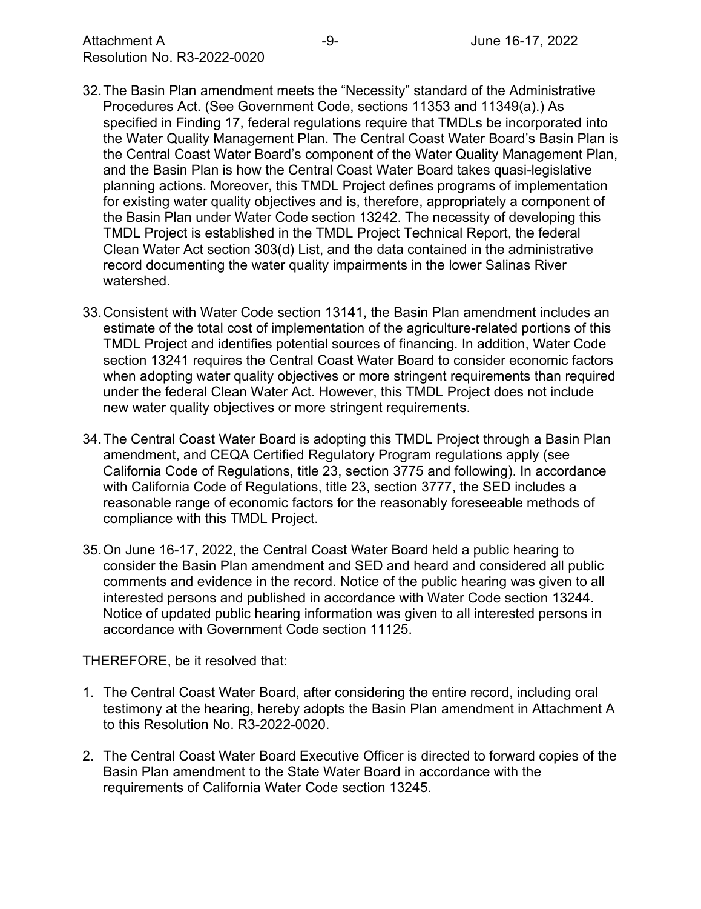- 32.The Basin Plan amendment meets the "Necessity" standard of the Administrative Procedures Act. (See Government Code, sections 11353 and 11349(a).) As specified in Finding 17, federal regulations require that TMDLs be incorporated into the Water Quality Management Plan. The Central Coast Water Board's Basin Plan is the Central Coast Water Board's component of the Water Quality Management Plan, and the Basin Plan is how the Central Coast Water Board takes quasi-legislative planning actions. Moreover, this TMDL Project defines programs of implementation for existing water quality objectives and is, therefore, appropriately a component of the Basin Plan under Water Code section 13242. The necessity of developing this TMDL Project is established in the TMDL Project Technical Report, the federal Clean Water Act section 303(d) List, and the data contained in the administrative record documenting the water quality impairments in the lower Salinas River watershed.
- 33.Consistent with Water Code section 13141, the Basin Plan amendment includes an estimate of the total cost of implementation of the agriculture-related portions of this TMDL Project and identifies potential sources of financing. In addition, Water Code section 13241 requires the Central Coast Water Board to consider economic factors when adopting water quality objectives or more stringent requirements than required under the federal Clean Water Act. However, this TMDL Project does not include new water quality objectives or more stringent requirements.
- 34.The Central Coast Water Board is adopting this TMDL Project through a Basin Plan amendment, and CEQA Certified Regulatory Program regulations apply (see California Code of Regulations, title 23, section 3775 and following). In accordance with California Code of Regulations, title 23, section 3777, the SED includes a reasonable range of economic factors for the reasonably foreseeable methods of compliance with this TMDL Project.
- 35.On June 16-17, 2022, the Central Coast Water Board held a public hearing to consider the Basin Plan amendment and SED and heard and considered all public comments and evidence in the record. Notice of the public hearing was given to all interested persons and published in accordance with Water Code section 13244. Notice of updated public hearing information was given to all interested persons in accordance with Government Code section 11125.

THEREFORE, be it resolved that:

- 1. The Central Coast Water Board, after considering the entire record, including oral testimony at the hearing, hereby adopts the Basin Plan amendment in Attachment A to this Resolution No. R3-2022-0020.
- 2. The Central Coast Water Board Executive Officer is directed to forward copies of the Basin Plan amendment to the State Water Board in accordance with the requirements of California Water Code section 13245.